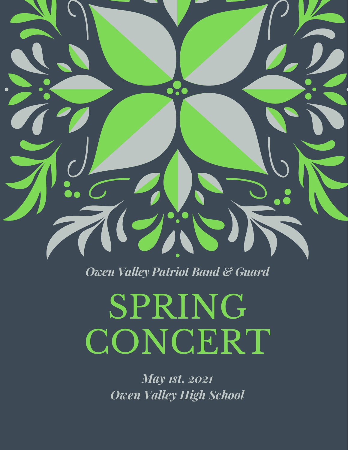

*Owen Valley Patriot Band & Guard*

# SPRING CONCERT

*May 1st, 2021 Owen Valley High School*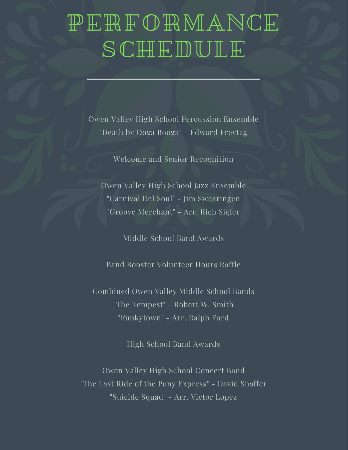### PERFORMANCE SCHEDULE

Owen Valley High School Percussion Ensemble "Death by Ooga Booga" - Edward Freytag

Welcome and Senior Recognition

Owen Valley High School Jazz Ensemble "Carnival Del Soul" - Jim Swearingen "Groove Merchant" - Arr. Rich Sigler

Middle School Band Awards

Band Booster Volunteer Hours Raffle

Combined Owen Valley Middle School Bands "The Tempest" - Robert W. Smith "Funkytown" - Arr. Ralph Ford

High School Band Awards

Owen Valley High School Concert Band "The Last Ride of the Pony Express" - David Shaffer "Suicide Squad" - Arr. Victor Lopez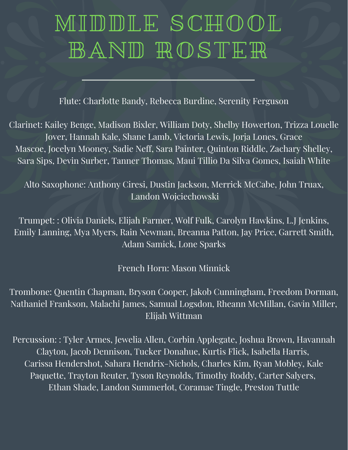### MIDDLE SCHOOL BAND ROSTER

Flute: Charlotte Bandy, Rebecca Burdine, Serenity Ferguson

Clarinet: Kailey Benge, Madison Bixler, William Doty, Shelby Howerton, Trizza Louelle Jover, Hannah Kale, Shane Lamb, Victoria Lewis, Jorja Lones, Grace Mascoe, Jocelyn Mooney, Sadie Neff, Sara Painter, Quinton Riddle, Zachary Shelley, Sara Sips, Devin Surber, Tanner Thomas, Maui Tillio Da Silva Gomes, Isaiah White

Alto Saxophone: Anthony Ciresi, Dustin Jackson, Merrick McCabe, John Truax, Landon Wojciechowski

Trumpet: : Olivia Daniels, Elijah Farmer, Wolf Fulk, Carolyn Hawkins, L.J Jenkins, Emily Lanning, Mya Myers, Rain Newman, Breanna Patton, Jay Price, Garrett Smith, Adam Samick, Lone Sparks

French Horn: Mason Minnick

Trombone: Quentin Chapman, Bryson Cooper, Jakob Cunningham, Freedom Dorman, Nathaniel Frankson, Malachi James, Samual Logsdon, Rheann McMillan, Gavin Miller, Elijah Wittman

Percussion: : Tyler Armes, Jewelia Allen, Corbin Applegate, Joshua Brown, Havannah Clayton, Jacob Dennison, Tucker Donahue, Kurtis Flick, Isabella Harris, Carissa Hendershot, Sahara Hendrix-Nichols, Charles Kim, Ryan Mobley, Kale Paquette, Trayton Reuter, Tyson Reynolds, Timothy Roddy, Carter Salyers, Ethan Shade, Landon Summerlot, Coramae Tingle, Preston Tuttle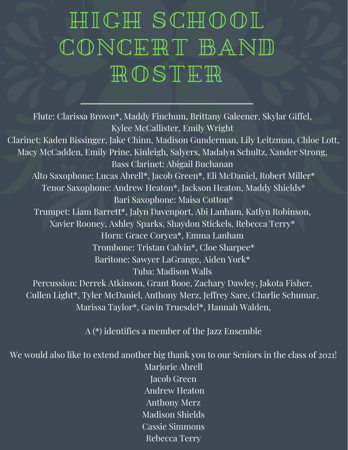## HIGH SCHOOL CONCERT BAND ROSTER

Flute: Clarissa Brown\*, Maddy Finchum, Brittany Galeener, Skylar Giffel, Kylee McCallister, Emily Wright Clarinet: Kaden Bissinger, Jake Chinn, Madison Gunderman, Lily Leitzman, Chloe Lott, Macy McCadden, Emily Prine, Kinleigh, Salyers, Madalyn Schultz, Xander Strong, Bass Clarinet: Abigail Buchanan Alto Saxophone: Lucas Abrell\*, Jacob Green\*, Eli McDaniel, Robert Miller\* Tenor Saxophone: Andrew Heaton\*, Jackson Heaton, Maddy Shields\* Bari Saxophone: Maisa Cotton\* Trumpet: Liam Barrett\*, Jalyn Davenport, Abi Lanham, Katlyn Robinson, Xavier Rooney, Ashley Sparks, Shaydon Stickels, Rebecca Terry\* Horn: Grace Coryea\*, Emma Lanham Trombone: Tristan Calvin\*, Cloe Sharpee\* Baritone: Sawyer LaGrange, Aiden York\* Tuba: Madison Walls Percussion: Derrek Atkinson, Grant Booe, Zachary Dawley, Jakota Fisher, Cullen Light\*, Tyler McDaniel, Anthony Merz, Jeffrey Sare, Charlie Schumar, Marissa Taylor\*, Gavin Truesdel\*, Hannah Walden,

A (\*) identifies a member of the Jazz Ensemble

We would also like to extend another big thank you to our Seniors in the class of 2021!

Marjorie Abrell Jacob Green Andrew Heaton Anthony Merz Madison Shields Cassie Simmons Rebecca Terry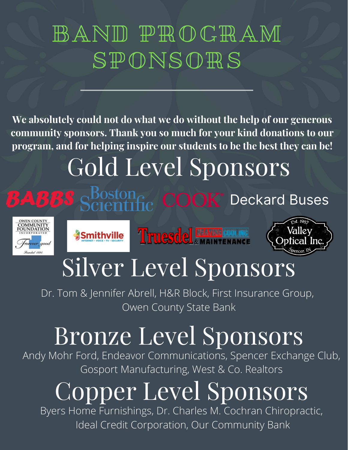## BAND PROGRAM SPONSORS

**We absolutely could not do what we do without the help of our generous community sponsors. Thank you so much for your kind donations to our program, and for helping inspire our students to be the best they can be!**

# Gold Level Sponsors





#### Smithville Truesdel HAMN COOLING



## Silver Level Sponsors

Dr. Tom & Jennifer Abrell, H&R Block, First Insurance Group, Owen County State Bank

# Bronze Level Sponsors

Andy Mohr Ford, Endeavor Communications, Spencer Exchange Club, Gosport Manufacturing, West & Co. Realtors

# Copper Level Sponsors

Byers Home Furnishings, Dr. Charles M. Cochran Chiropractic, Ideal Credit Corporation, Our Community Bank